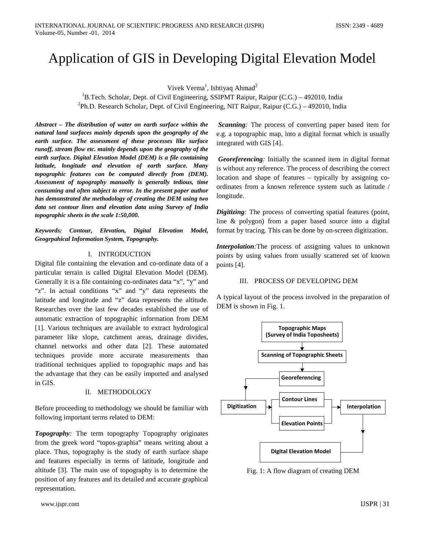# Application of GIS in Developing Digital Elevation Model

Vivek Verma<sup>1</sup>, Ishtiyaq Ahmad<sup>2</sup>

<sup>1</sup>B.Tech. Scholar, Dept. of Civil Engineering, SSIPMT Raipur, Raipur (C.G.) – 492010, India <sup>2</sup>Ph.D. Research Scholar, Dept. of Civil Engineering, NIT Raipur, Raipur (C.G.) – 492010, India

*Abstract – The distribution of water on earth surface within the natural land surfaces mainly depends upon the geography of the earth surface. The assessment of these processes like surface runoff, stream flow etc. mainly depends upon the geography of the earth surface. Digital Elevation Model (DEM) is a file containing latitude, longitude and elevation of earth surface. Many topographic features can be computed directly from (DEM). Assessment of topography manually is generally tedious, time consuming and often subject to error. In the present paper author has demonstrated the methodology of creating the DEM using two data set contour lines and elevation data using Survey of India topographic sheets in the scale 1:50,000.*

*Keywords: Contour, Elevation, Digital Elevation Model, Geogrpahical Information System, Topography.* 

## I. INTRODUCTION

Digital file containing the elevation and co-ordinate data of a particular terrain is called Digital Elevation Model (DEM). Generally it is a file containing co-ordinates data "x", "y" and "z". In actual conditions "x" and "y" data represents the latitude and longitude and "z" data represents the altitude. Researches over the last few decades established the use of automatic extraction of topographic information from DEM [1]. Various techniques are available to extract hydrological parameter like slope, catchment areas, drainage divides, channel networks and other data [2]. These automated techniques provide more accurate measurements than traditional techniques applied to topographic maps and has the advantage that they can be easily imported and analysed in GIS.

#### II. METHODOLOGY

Before proceeding to methodology we should be familiar with following important terms related to DEM:

*Topography:* The term topography Topography originates from the greek word "topos-graphia" means writing about a place. Thus, topography is the study of earth surface shape and features especially in terms of latitude, longitude and altitude [3]. The main use of topography is to determine the position of any features and its detailed and accurate graphical representation.

*Scanning:* The process of converting paper based item for e.g. a topographic map, into a digital format which is usually integrated with GIS [4].

*Georeferencing:* Initially the scanned item in digital format is without any reference. The process of describing the correct location and shape of features – typically by assigning coordinates from a known reference system such as latitude / longitude.

*Digitizing*: The process of converting spatial features (point, line & polygon) from a paper based source into a digital format by tracing. This can be done by on-screen digitization.

*Interpolation*: The process of assigning values to unknown points by using values from usually scattered set of known points [4].

## III. PROCESS OF DEVELOPING DEM

A typical layout of the process involved in the preparation of DEM is shown in Fig. 1.



Fig. 1: A flow diagram of creating DEM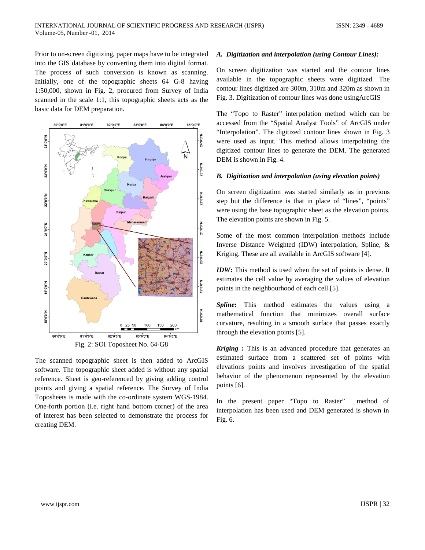Prior to on-screen digitizing, paper maps have to be integrated into the GIS database by converting them into digital format. The process of such conversion is known as scanning. Initially, one of the topographic sheets 64 G-8 having 1:50,000, shown in Fig. 2, procured from Survey of India scanned in the scale 1:1, this topographic sheets acts as the basic data for DEM preparation.



The scanned topographic sheet is then added to ArcGIS software. The topographic sheet added is without any spatial reference. Sheet is geo-referenced by giving adding control points and giving a spatial reference. The Survey of India Toposheets is made with the co-ordinate system WGS-1984. One-forth portion (i.e. right hand bottom corner) of the area of interest has been selected to demonstrate the process for creating DEM.

#### *A. Digitization and interpolation (using Contour Lines):*

On screen digitization was started and the contour lines available in the topographic sheets were digitized. The contour lines digitized are 300m, 310m and 320m as shown in Fig. 3. Digitization of contour lines was done usingArcGIS

The "Topo to Raster" interpolation method which can be accessed from the "Spatial Analyst Tools" of ArcGIS under "Interpolation". The digitized contour lines shown in Fig. 3 were used as input. This method allows interpolating the digitized contour lines to generate the DEM. The generated DEM is shown in Fig. 4.

#### *B. Digitization and interpolation (using elevation points)*

On screen digitization was started similarly as in previous step but the difference is that in place of "lines", "points" were using the base topographic sheet as the elevation points. The elevation points are shown in Fig. 5.

Some of the most common interpolation methods include Inverse Distance Weighted (IDW) interpolation, Spline, & Kriging. These are all available in ArcGIS software [4].

*IDW***:** This method is used when the set of points is dense. It estimates the cell value by averaging the values of elevation points in the neighbourhood of each cell [5].

**Spline:** This method estimates the values using a mathematical function that minimizes overall surface curvature, resulting in a smooth surface that passes exactly through the elevation points [5].

*Kriging* **:** This is an advanced procedure that generates an estimated surface from a scattered set of points with elevations points and involves investigation of the spatial behavior of the phenomenon represented by the elevation points [6].

In the present paper "Topo to Raster" method of interpolation has been used and DEM generated is shown in Fig. 6.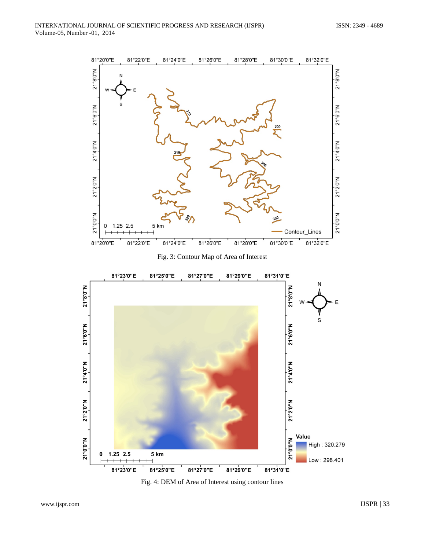

Fig. 4: DEM of Area of Interest using contour lines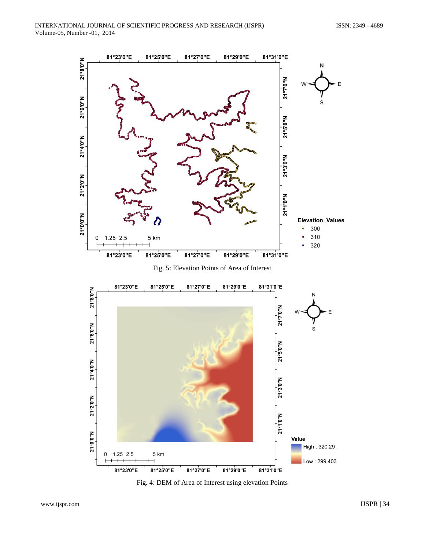



Fig. 4: DEM of Area of Interest using elevation Points